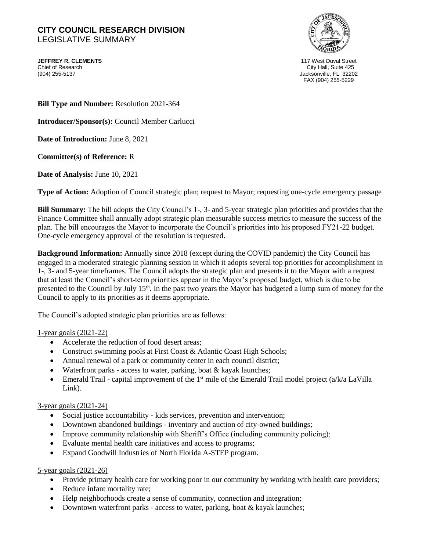## **CITY COUNCIL RESEARCH DIVISION**  LEGISLATIVE SUMMARY

**JEFFREY R. CLEMENTS** 117 West Duval Street Chief of Research City Hall, Suite 425



Jacksonville, FL 32202 FAX (904) 255-5229

**Bill Type and Number:** Resolution 2021-364

**Introducer/Sponsor(s):** Council Member Carlucci

**Date of Introduction:** June 8, 2021

**Committee(s) of Reference:** R

**Date of Analysis:** June 10, 2021

**Type of Action:** Adoption of Council strategic plan; request to Mayor; requesting one-cycle emergency passage

**Bill Summary:** The bill adopts the City Council's 1-, 3- and 5-year strategic plan priorities and provides that the Finance Committee shall annually adopt strategic plan measurable success metrics to measure the success of the plan. The bill encourages the Mayor to incorporate the Council's priorities into his proposed FY21-22 budget. One-cycle emergency approval of the resolution is requested.

**Background Information:** Annually since 2018 (except during the COVID pandemic) the City Council has engaged in a moderated strategic planning session in which it adopts several top priorities for accomplishment in 1-, 3- and 5-year timeframes. The Council adopts the strategic plan and presents it to the Mayor with a request that at least the Council's short-term priorities appear in the Mayor's proposed budget, which is due to be presented to the Council by July 15th. In the past two years the Mayor has budgeted a lump sum of money for the Council to apply to its priorities as it deems appropriate.

The Council's adopted strategic plan priorities are as follows:

### 1-year goals (2021-22)

- Accelerate the reduction of food desert areas:
- Construct swimming pools at First Coast & Atlantic Coast High Schools;
- Annual renewal of a park or community center in each council district;
- Waterfront parks access to water, parking, boat & kayak launches;
- Emerald Trail capital improvement of the  $1<sup>st</sup>$  mile of the Emerald Trail model project ( $a/k/a$  LaVilla Link).

### 3-year goals (2021-24)

- Social justice accountability kids services, prevention and intervention;
- Downtown abandoned buildings inventory and auction of city-owned buildings;
- Improve community relationship with Sheriff's Office (including community policing);
- Evaluate mental health care initiatives and access to programs;
- Expand Goodwill Industries of North Florida A-STEP program.

### 5-year goals (2021-26)

- Provide primary health care for working poor in our community by working with health care providers;
- Reduce infant mortality rate;
- Help neighborhoods create a sense of community, connection and integration;
- Downtown waterfront parks access to water, parking, boat & kayak launches;